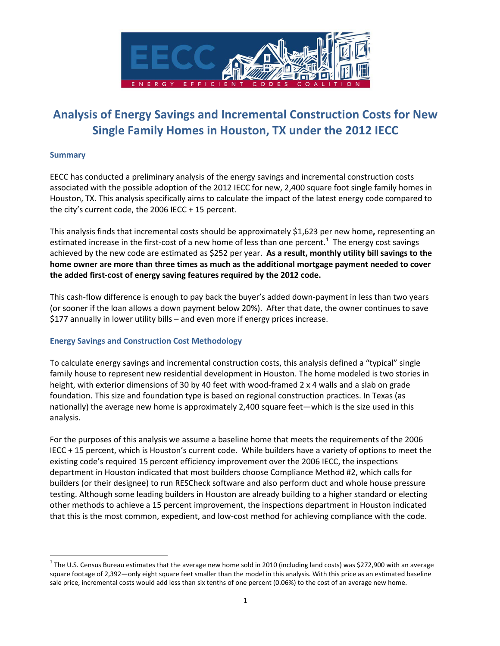

## **Analysis of Energy Savings and Incremental Construction Costs for New Single Family Homes in Houston, TX under the 2012 IECC**

### **Summary**

EECC has conducted a preliminary analysis of the energy savings and incremental construction costs associated with the possible adoption of the 2012 IECC for new, 2,400 square foot single family homes in Houston, TX. This analysis specifically aims to calculate the impact of the latest energy code compared to the city's current code, the 2006 IECC + 15 percent.

This analysis finds that incremental costs should be approximately \$1,623 per new home**,** representing an estimated increase in the first-cost of a new home of less than one percent.<sup>[1](#page-0-0)</sup> The energy cost savings achieved by the new code are estimated as \$252 per year. **As a result, monthly utility bill savings to the home owner are more than three times as much as the additional mortgage payment needed to cover the added first-cost of energy saving features required by the 2012 code.** 

This cash-flow difference is enough to pay back the buyer's added down-payment in less than two years (or sooner if the loan allows a down payment below 20%). After that date, the owner continues to save \$177 annually in lower utility bills – and even more if energy prices increase.

## **Energy Savings and Construction Cost Methodology**

To calculate energy savings and incremental construction costs, this analysis defined a "typical" single family house to represent new residential development in Houston. The home modeled is two stories in height, with exterior dimensions of 30 by 40 feet with wood-framed 2 x 4 walls and a slab on grade foundation. This size and foundation type is based on regional construction practices. In Texas (as nationally) the average new home is approximately 2,400 square feet—which is the size used in this analysis.

For the purposes of this analysis we assume a baseline home that meets the requirements of the 2006 IECC + 15 percent, which is Houston's current code. While builders have a variety of options to meet the existing code's required 15 percent efficiency improvement over the 2006 IECC, the inspections department in Houston indicated that most builders choose Compliance Method #2, which calls for builders (or their designee) to run RESCheck software and also perform duct and whole house pressure testing. Although some leading builders in Houston are already building to a higher standard or electing other methods to achieve a 15 percent improvement, the inspections department in Houston indicated that this is the most common, expedient, and low-cost method for achieving compliance with the code.

<span id="page-0-0"></span> $1$  The U.S. Census Bureau estimates that the average new home sold in 2010 (including land costs) was \$272,900 with an average square footage of 2,392—only eight square feet smaller than the model in this analysis. With this price as an estimated baseline sale price, incremental costs would add less than six tenths of one percent (0.06%) to the cost of an average new home.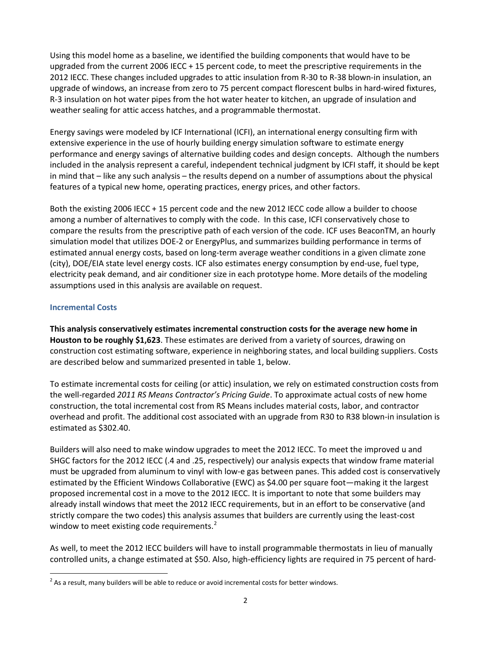Using this model home as a baseline, we identified the building components that would have to be upgraded from the current 2006 IECC + 15 percent code, to meet the prescriptive requirements in the 2012 IECC. These changes included upgrades to attic insulation from R-30 to R-38 blown-in insulation, an upgrade of windows, an increase from zero to 75 percent compact florescent bulbs in hard-wired fixtures, R-3 insulation on hot water pipes from the hot water heater to kitchen, an upgrade of insulation and weather sealing for attic access hatches, and a programmable thermostat.

Energy savings were modeled by ICF International (ICFI), an international energy consulting firm with extensive experience in the use of hourly building energy simulation software to estimate energy performance and energy savings of alternative building codes and design concepts. Although the numbers included in the analysis represent a careful, independent technical judgment by ICFI staff, it should be kept in mind that – like any such analysis – the results depend on a number of assumptions about the physical features of a typical new home, operating practices, energy prices, and other factors.

Both the existing 2006 IECC + 15 percent code and the new 2012 IECC code allow a builder to choose among a number of alternatives to comply with the code. In this case, ICFI conservatively chose to compare the results from the prescriptive path of each version of the code. ICF uses BeaconTM, an hourly simulation model that utilizes DOE-2 or EnergyPlus, and summarizes building performance in terms of estimated annual energy costs, based on long-term average weather conditions in a given climate zone (city), DOE/EIA state level energy costs. ICF also estimates energy consumption by end-use, fuel type, electricity peak demand, and air conditioner size in each prototype home. More details of the modeling assumptions used in this analysis are available on request.

### **Incremental Costs**

**This analysis conservatively estimates incremental construction costs for the average new home in Houston to be roughly \$1,623**. These estimates are derived from a variety of sources, drawing on construction cost estimating software, experience in neighboring states, and local building suppliers. Costs are described below and summarized presented in table 1, below.

To estimate incremental costs for ceiling (or attic) insulation, we rely on estimated construction costs from the well-regarded *2011 RS Means Contractor's Pricing Guide*. To approximate actual costs of new home construction, the total incremental cost from RS Means includes material costs, labor, and contractor overhead and profit. The additional cost associated with an upgrade from R30 to R38 blown-in insulation is estimated as \$302.40.

Builders will also need to make window upgrades to meet the 2012 IECC. To meet the improved u and SHGC factors for the 2012 IECC (.4 and .25, respectively) our analysis expects that window frame material must be upgraded from aluminum to vinyl with low-e gas between panes. This added cost is conservatively estimated by the Efficient Windows Collaborative (EWC) as \$4.00 per square foot—making it the largest proposed incremental cost in a move to the 2012 IECC. It is important to note that some builders may already install windows that meet the 2012 IECC requirements, but in an effort to be conservative (and strictly compare the two codes) this analysis assumes that builders are currently using the least-cost window to meet existing code requirements.<sup>[2](#page-1-0)</sup>

As well, to meet the 2012 IECC builders will have to install programmable thermostats in lieu of manually controlled units, a change estimated at \$50. Also, high-efficiency lights are required in 75 percent of hard-

<span id="page-1-0"></span> $2$  As a result, many builders will be able to reduce or avoid incremental costs for better windows.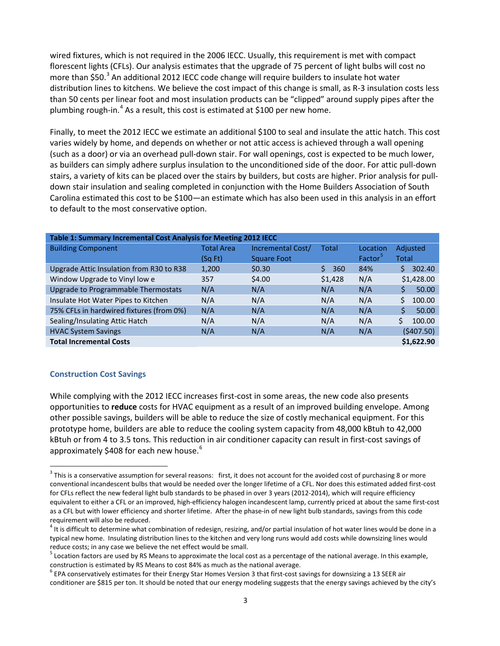wired fixtures, which is not required in the 2006 IECC. Usually, this requirement is met with compact florescent lights (CFLs). Our analysis estimates that the upgrade of 75 percent of light bulbs will cost no more than \$50.<sup>[3](#page-2-0)</sup> An additional 2012 IECC code change will require builders to insulate hot water distribution lines to kitchens. We believe the cost impact of this change is small, as R-3 insulation costs less than 50 cents per linear foot and most insulation products can be "clipped" around supply pipes after the plumbing rough-in.<sup>[4](#page-2-0)</sup> As a result, this cost is estimated at \$100 per new home.

Finally, to meet the 2012 IECC we estimate an additional \$100 to seal and insulate the attic hatch. This cost varies widely by home, and depends on whether or not attic access is achieved through a wall opening (such as a door) or via an overhead pull-down stair. For wall openings, cost is expected to be much lower, as builders can simply adhere surplus insulation to the unconditioned side of the door. For attic pull-down stairs, a variety of kits can be placed over the stairs by builders, but costs are higher. Prior analysis for pulldown stair insulation and sealing completed in conjunction with the Home Builders Association of South Carolina estimated this cost to be \$100—an estimate which has also been used in this analysis in an effort to default to the most conservative option.

| Table 1: Summary Incremental Cost Analysis for Meeting 2012 IECC |                   |                    |          |          |             |  |  |  |  |
|------------------------------------------------------------------|-------------------|--------------------|----------|----------|-------------|--|--|--|--|
| <b>Building Component</b>                                        | <b>Total Area</b> | Incremental Cost/  | Total    | Location | Adjusted    |  |  |  |  |
|                                                                  | (Sg Ft)           | <b>Square Foot</b> |          | Factor   | Total       |  |  |  |  |
| Upgrade Attic Insulation from R30 to R38                         | 1,200             | \$0.30             | Ś<br>360 | 84%      | 302.40<br>Ś |  |  |  |  |
| Window Upgrade to Vinyl low e                                    | 357               | \$4.00             | \$1,428  | N/A      | \$1,428.00  |  |  |  |  |
| Upgrade to Programmable Thermostats                              | N/A               | N/A                | N/A      | N/A      | Ś.<br>50.00 |  |  |  |  |
| Insulate Hot Water Pipes to Kitchen                              | N/A               | N/A                | N/A      | N/A      | 100.00<br>Ś |  |  |  |  |
| 75% CFLs in hardwired fixtures (from 0%)                         | N/A               | N/A                | N/A      | N/A      | Ś<br>50.00  |  |  |  |  |
| Sealing/Insulating Attic Hatch                                   | N/A               | N/A                | N/A      | N/A      | Ś<br>100.00 |  |  |  |  |
| <b>HVAC System Savings</b>                                       | N/A               | N/A                | N/A      | N/A      | (5407.50)   |  |  |  |  |
| <b>Total Incremental Costs</b>                                   |                   |                    |          |          | \$1.622.90  |  |  |  |  |

#### **Construction Cost Savings**

While complying with the 2012 IECC increases first-cost in some areas, the new code also presents opportunities to **reduce** costs for HVAC equipment as a result of an improved building envelope. Among other possible savings, builders will be able to reduce the size of costly mechanical equipment. For this prototype home, builders are able to reduce the cooling system capacity from 48,000 kBtuh to 42,000 kBtuh or from 4 to 3.5 tons. This reduction in air conditioner capacity can result in first-cost savings of approximately \$408 for each new house.<sup>[6](#page-2-0)</sup>

<span id="page-2-0"></span> $3$  This is a conservative assumption for several reasons: first, it does not account for the avoided cost of purchasing 8 or more conventional incandescent bulbs that would be needed over the longer lifetime of a CFL. Nor does this estimated added first-cost for CFLs reflect the new federal light bulb standards to be phased in over 3 years (2012-2014), which will require efficiency equivalent to either a CFL or an improved, high-efficiency halogen incandescent lamp, currently priced at about the same first-cost as a CFL but with lower efficiency and shorter lifetime. After the phase-in of new light bulb standards, savings from this code requirement will also be reduced.

 $4$  It is difficult to determine what combination of redesign, resizing, and/or partial insulation of hot water lines would be done in a typical new home. Insulating distribution lines to the kitchen and very long runs would add costs while downsizing lines would reduce costs; in any case we believe the net effect would be small.

 $5$  Location factors are used by RS Means to approximate the local cost as a percentage of the national average. In this example, construction is estimated by RS Means to cost 84% as much as the national average.<br><sup>6</sup> EPA conservatively estimates for their Energy Star Homes Version 3 that first-cost savings for downsizing a 13 SEER air

conditioner are \$815 per ton. It should be noted that our energy modeling suggests that the energy savings achieved by the city's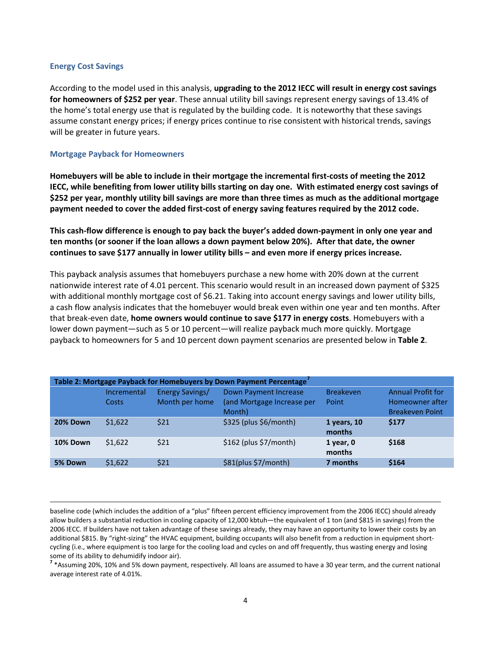#### **Energy Cost Savings**

 $\overline{a}$ 

According to the model used in this analysis, **upgrading to the 2012 IECC will result in energy cost savings for homeowners of \$252 per year**. These annual utility bill savings represent energy savings of 13.4% of the home's total energy use that is regulated by the building code. It is noteworthy that these savings assume constant energy prices; if energy prices continue to rise consistent with historical trends, savings will be greater in future years.

#### **Mortgage Payback for Homeowners**

**Homebuyers will be able to include in their mortgage the incremental first-costs of meeting the 2012 IECC, while benefiting from lower utility bills starting on day one. With estimated energy cost savings of \$252 per year, monthly utility bill savings are more than three times as much as the additional mortgage payment needed to cover the added first-cost of energy saving features required by the 2012 code.** 

**This cash-flow difference is enough to pay back the buyer's added down-payment in only one year and ten months (or sooner if the loan allows a down payment below 20%). After that date, the owner continues to save \$177 annually in lower utility bills – and even more if energy prices increase.**

This payback analysis assumes that homebuyers purchase a new home with 20% down at the current nationwide interest rate of 4.01 percent. This scenario would result in an increased down payment of \$325 with additional monthly mortgage cost of \$6.21. Taking into account energy savings and lower utility bills, a cash flow analysis indicates that the homebuyer would break even within one year and ten months. After that break-even date, **home owners would continue to save \$177 in energy costs**. Homebuyers with a lower down payment—such as 5 or 10 percent—will realize payback much more quickly. Mortgage payback to homeowners for 5 and 10 percent down payment scenarios are presented below in **Table 2**.

| Table 2: Mortgage Payback for Homebuyers by Down Payment Percentage <sup>7</sup> |             |                        |                                      |                         |                                           |  |  |  |  |  |
|----------------------------------------------------------------------------------|-------------|------------------------|--------------------------------------|-------------------------|-------------------------------------------|--|--|--|--|--|
|                                                                                  | Incremental | <b>Energy Savings/</b> | Down Payment Increase                | <b>Breakeven</b>        | <b>Annual Profit for</b>                  |  |  |  |  |  |
|                                                                                  | Costs       | Month per home         | (and Mortgage Increase per<br>Month) | Point                   | Homeowner after<br><b>Breakeven Point</b> |  |  |  |  |  |
| 20% Down                                                                         | \$1.622     | \$21                   | $$325$ (plus $$6/m$ onth)            | 1 years, $10$<br>months | \$177                                     |  |  |  |  |  |
| 10% Down                                                                         | \$1.622     | \$21                   | $$162$ (plus $$7/m$ onth)            | $1$ year, $0$<br>months | \$168                                     |  |  |  |  |  |
| 5% Down                                                                          | \$1,622     | \$21                   | \$81(plus \$7/month)                 | 7 months                | \$164                                     |  |  |  |  |  |

<span id="page-3-0"></span>baseline code (which includes the addition of a "plus" fifteen percent efficiency improvement from the 2006 IECC) should already allow builders a substantial reduction in cooling capacity of 12,000 kbtuh—the equivalent of 1 ton (and \$815 in savings) from the 2006 IECC. If builders have not taken advantage of these savings already, they may have an opportunity to lower their costs by an additional \$815. By "right-sizing" the HVAC equipment, building occupants will also benefit from a reduction in equipment shortcycling (i.e., where equipment is too large for the cooling load and cycles on and off frequently, thus wasting energy and losing some of its ability to dehumidify indoor air).

**<sup>7</sup>** \*Assuming 20%, 10% and 5% down payment, respectively. All loans are assumed to have a 30 year term, and the current national average interest rate of 4.01%.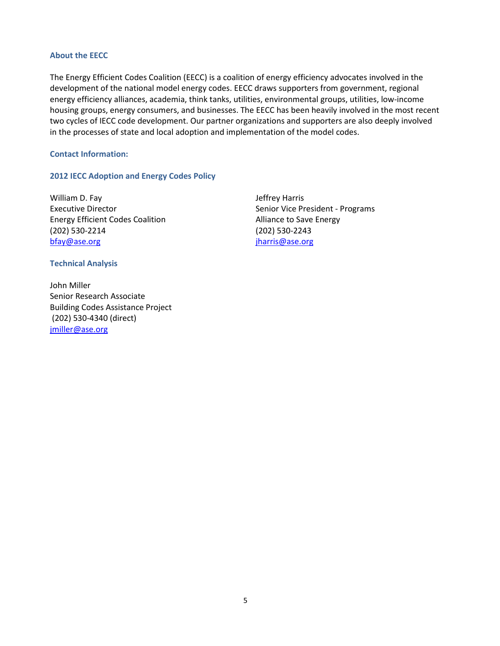#### **About the EECC**

The Energy Efficient Codes Coalition (EECC) is a coalition of energy efficiency advocates involved in the development of the national model energy codes. EECC draws supporters from government, regional energy efficiency alliances, academia, think tanks, utilities, environmental groups, utilities, low-income housing groups, energy consumers, and businesses. The EECC has been heavily involved in the most recent two cycles of IECC code development. Our partner organizations and supporters are also deeply involved in the processes of state and local adoption and implementation of the model codes.

#### **Contact Information:**

**Technical Analysis** 

[jmiller@ase.org](mailto:jmiller@ase.org)

#### **2012 IECC Adoption and Energy Codes Policy**

William D. Fay **Jeffrey Harris** Energy Efficient Codes Coalition **Alliance to Save Energy** (202) 530-2214 (202) 530-2243 [bfay@ase.org](mailto:bfay@ase.org) [jharris@ase.org](mailto:jharris@ase.org)

Executive Director **Senior Vice President - Programs** 

John Miller Senior Research Associate Building Codes Assistance Project (202) 530-4340 (direct)